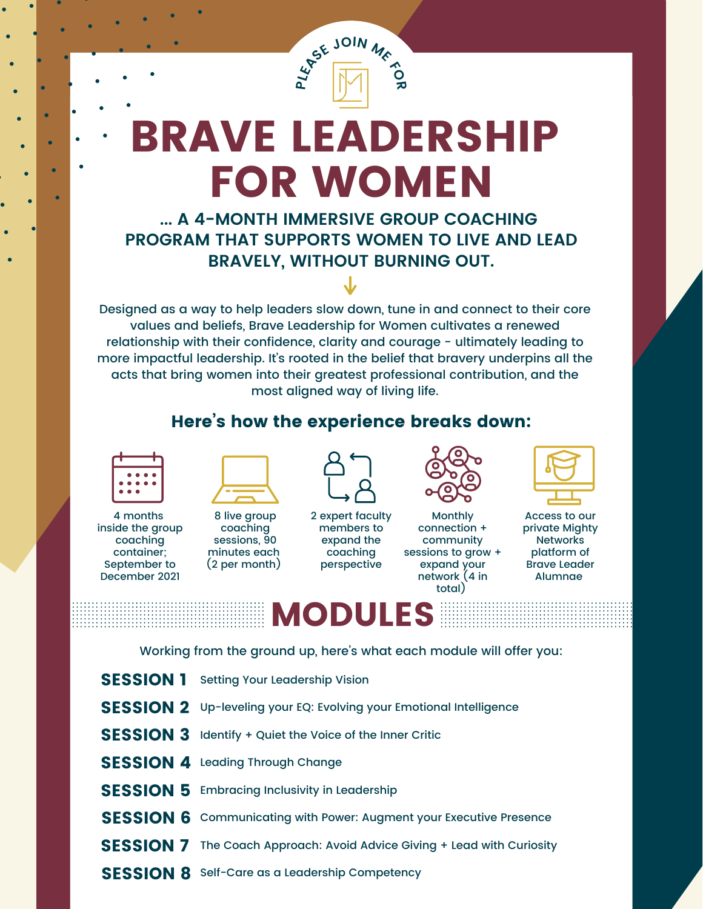

**E** JOIN ME 2

**... A 4-MONTH IMMERSIVE GROUP COACHING PROGRAM THAT SUPPORTS WOMEN TO LIVE AND LEAD BRAVELY, WITHOUT BURNING OUT.**

Designed as a way to help leaders slow down, tune in and connect to their core values and beliefs, Brave Leadership for Women cultivates a renewed relationship with their confidence, clarity and courage - ultimately leading to more impactful leadership. It's rooted in the belief that bravery underpins all the acts that bring women into their greatest professional contribution, and the most aligned way of living life.

#### Here's how the experience breaks down:



4 months inside the group coaching container; September to December 2021



8 live group coaching sessions, 90 minutes each (2 per month)



2 expert faculty members to expand the coaching perspective



Monthly connection + community sessions to grow + expand your network (4 in total)



Access to our private Mighty **Networks** platform of Brave Leader Alumnae

# **MODULE**

Working from the ground up, here's what each module will offer you:

- **SESSION 1** Setting Your Leadership Vision
- SESSION 2 Up-leveling your EQ: Evolving your Emotional Intelligence
- **SESSION 3** Identify + Quiet the Voice of the Inner Critic
- SESSION 4 Leading Through Change
- **SESSION 5** Embracing Inclusivity in Leadership
- SESSION 6 Communicating with Power: Augment your Executive Presence
- **SESSION 7** The Coach Approach: Avoid Advice Giving + Lead with Curiosity
- **SESSION 8** Self-Care as a Leadership Competency